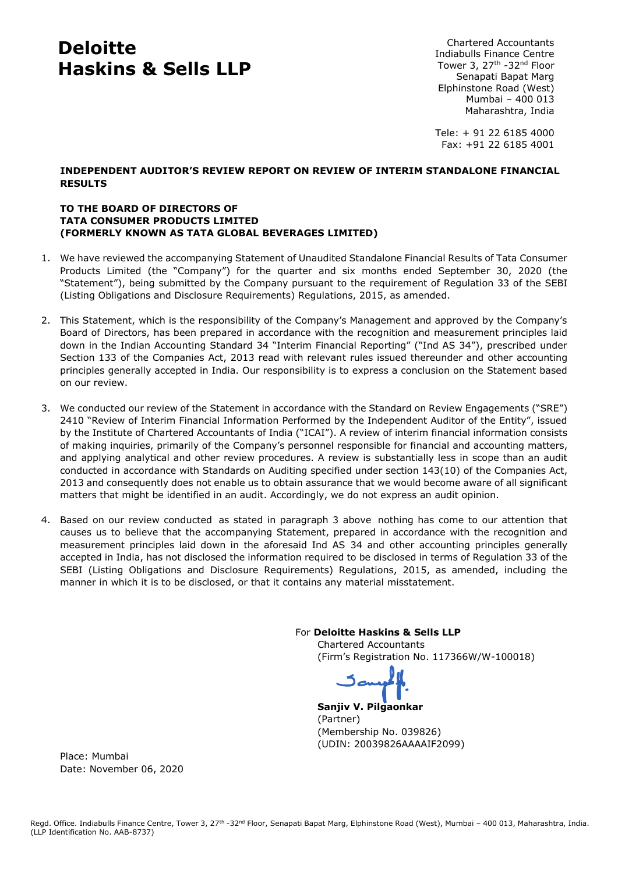# **Deloitte Haskins & Sells LLP**

Chartered Accountants Indiabulls Finance Centre Tower 3, 27<sup>th</sup> -32<sup>nd</sup> Floor Senapati Bapat Marg Elphinstone Road (West) Mumbai – 400 013 Maharashtra, India

Tele: + 91 22 6185 4000 Fax: +91 22 6185 4001

# **INDEPENDENT AUDITOR'S REVIEW REPORT ON REVIEW OF INTERIM STANDALONE FINANCIAL RESULTS**

# **TO THE BOARD OF DIRECTORS OF TATA CONSUMER PRODUCTS LIMITED (FORMERLY KNOWN AS TATA GLOBAL BEVERAGES LIMITED)**

- 1. We have reviewed the accompanying Statement of Unaudited Standalone Financial Results of Tata Consumer Products Limited (the "Company") for the quarter and six months ended September 30, 2020 (the "Statement"), being submitted by the Company pursuant to the requirement of Regulation 33 of the SEBI (Listing Obligations and Disclosure Requirements) Regulations, 2015, as amended.
- 2. This Statement, which is the responsibility of the Company's Management and approved by the Company's Board of Directors, has been prepared in accordance with the recognition and measurement principles laid down in the Indian Accounting Standard 34 "Interim Financial Reporting" ("Ind AS 34"), prescribed under Section 133 of the Companies Act, 2013 read with relevant rules issued thereunder and other accounting principles generally accepted in India. Our responsibility is to express a conclusion on the Statement based on our review.
- 3. We conducted our review of the Statement in accordance with the Standard on Review Engagements ("SRE") 2410 "Review of Interim Financial Information Performed by the Independent Auditor of the Entity", issued by the Institute of Chartered Accountants of India ("ICAI"). A review of interim financial information consists of making inquiries, primarily of the Company's personnel responsible for financial and accounting matters, and applying analytical and other review procedures. A review is substantially less in scope than an audit conducted in accordance with Standards on Auditing specified under section 143(10) of the Companies Act, 2013 and consequently does not enable us to obtain assurance that we would become aware of all significant matters that might be identified in an audit. Accordingly, we do not express an audit opinion.
- 4. Based on our review conducted as stated in paragraph 3 above nothing has come to our attention that causes us to believe that the accompanying Statement, prepared in accordance with the recognition and measurement principles laid down in the aforesaid Ind AS 34 and other accounting principles generally accepted in India, has not disclosed the information required to be disclosed in terms of Regulation 33 of the SEBI (Listing Obligations and Disclosure Requirements) Regulations, 2015, as amended, including the manner in which it is to be disclosed, or that it contains any material misstatement.

## For **Deloitte Haskins & Sells LLP**

Chartered Accountants (Firm's Registration No. 117366W/W-100018)

**Sanjiv V. Pilgaonkar** (Partner) (Membership No. 039826) (UDIN: 20039826AAAAIF2099)

Place: Mumbai Date: November 06, 2020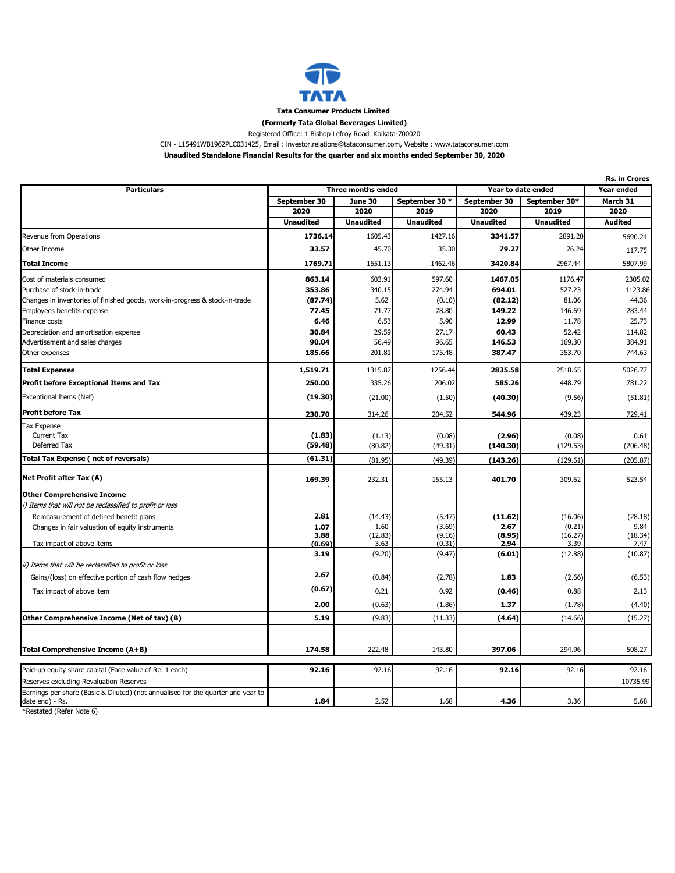

**(Formerly Tata Global Beverages Limited)**

Registered Office: 1 Bishop Lefroy Road Kolkata-700020

CIN - L15491WB1962PLC031425, Email : investor.relations@tataconsumer.com, Website : www.tataconsumer.com

**Unaudited Standalone Financial Results for the quarter and six months ended September 30, 2020**

|                                                                                                     |                    |                  |                  |                    |                  | <b>Rs. in Crores</b> |
|-----------------------------------------------------------------------------------------------------|--------------------|------------------|------------------|--------------------|------------------|----------------------|
| <b>Particulars</b>                                                                                  | Three months ended |                  |                  | Year to date ended | Year ended       |                      |
|                                                                                                     | September 30       | June 30          | September 30 *   | September 30       | September 30*    | March 31             |
|                                                                                                     | 2020               | 2020             | 2019             | 2020               | 2019             | 2020                 |
|                                                                                                     | <b>Unaudited</b>   | <b>Unaudited</b> | <b>Unaudited</b> | <b>Unaudited</b>   | <b>Unaudited</b> | <b>Audited</b>       |
| Revenue from Operations                                                                             | 1736.14            | 1605.43          | 1427.16          | 3341.57            | 2891.20          | 5690.24              |
| Other Income                                                                                        | 33.57              | 45.70            | 35.30            | 79.27              | 76.24            | 117.75               |
| <b>Total Income</b>                                                                                 | 1769.71            | 1651.13          | 1462.46          | 3420.84            | 2967.44          | 5807.99              |
| Cost of materials consumed                                                                          | 863.14             | 603.91           | 597.60           | 1467.05            | 1176.47          | 2305.02              |
| Purchase of stock-in-trade                                                                          | 353.86             | 340.15           | 274.94           | 694.01             | 527.23           | 1123.86              |
| Changes in inventories of finished goods, work-in-progress & stock-in-trade                         | (87.74)            | 5.62             | (0.10)           | (82.12)            | 81.06            | 44.36                |
| Employees benefits expense                                                                          | 77.45              | 71.77            | 78.80            | 149.22             | 146.69           | 283.44               |
| <b>Finance costs</b>                                                                                | 6.46               | 6.53             | 5.90             | 12.99              | 11.78            | 25.73                |
| Depreciation and amortisation expense                                                               | 30.84              | 29.59            | 27.17            | 60.43              | 52.42            | 114.82               |
| Advertisement and sales charges                                                                     | 90.04              | 56.49            | 96.65            | 146.53             | 169.30           | 384.91               |
| Other expenses                                                                                      | 185.66             | 201.81           | 175.48           | 387.47             | 353.70           | 744.63               |
| <b>Total Expenses</b>                                                                               | 1,519.71           | 1315.87          | 1256.44          | 2835.58            | 2518.65          | 5026.77              |
| Profit before Exceptional Items and Tax                                                             | 250.00             | 335.26           | 206.02           | 585.26             | 448.79           | 781.22               |
| Exceptional Items (Net)                                                                             | (19.30)            | (21.00)          | (1.50)           | (40.30)            | (9.56)           | (51.81)              |
| <b>Profit before Tax</b>                                                                            | 230.70             | 314.26           | 204.52           | 544.96             | 439.23           | 729.41               |
| Tax Expense                                                                                         |                    |                  |                  |                    |                  |                      |
| Current Tax                                                                                         | (1.83)             | (1.13)           | (0.08)           | (2.96)             | (0.08)           | 0.61                 |
| Deferred Tax                                                                                        | (59.48)            | (80.82)          | (49.31)          | (140.30)           | (129.53)         | (206.48)             |
| <b>Total Tax Expense (net of reversals)</b>                                                         | (61.31)            | (81.95)          | (49.39)          | (143.26)           | (129.61)         | (205.87)             |
| Net Profit after Tax (A)                                                                            | 169.39             | 232.31           | 155.13           | 401.70             | 309.62           | 523.54               |
| <b>Other Comprehensive Income</b>                                                                   |                    |                  |                  |                    |                  |                      |
| i) Items that will not be reclassified to profit or loss                                            |                    |                  |                  |                    |                  |                      |
| Remeasurement of defined benefit plans                                                              | 2.81               | (14.43)          | (5.47)           | (11.62)            | (16.06)          | (28.18)              |
| Changes in fair valuation of equity instruments                                                     | 1.07               | 1.60             | (3.69)           | 2.67               | (0.21)           | 9.84                 |
|                                                                                                     | 3.88               | (12.83)          | (9.16)           | (8.95)             | (16.27)          | (18.34)              |
| Tax impact of above items                                                                           | (0.69)<br>3.19     | 3.63<br>(9.20)   | (0.31)<br>(9.47) | 2.94<br>(6.01)     | 3.39<br>(12.88)  | 7.47<br>(10.87)      |
| ii) Items that will be reclassified to profit or loss                                               |                    |                  |                  |                    |                  |                      |
| Gains/(loss) on effective portion of cash flow hedges                                               | 2.67               | (0.84)           | (2.78)           | 1.83               | (2.66)           | (6.53)               |
| Tax impact of above item                                                                            | (0.67)             | 0.21             | 0.92             | (0.46)             | 0.88             | 2.13                 |
|                                                                                                     | 2.00               | (0.63)           | (1.86)           | 1.37               | (1.78)           | (4.40)               |
| Other Comprehensive Income (Net of tax) (B)                                                         | 5.19               | (9.83)           | (11.33)          | (4.64)             | (14.66)          | (15.27)              |
|                                                                                                     |                    |                  |                  |                    |                  |                      |
| Total Comprehensive Income (A+B)                                                                    | 174.58             | 222.48           | 143.80           | 397.06             | 294.96           | 508.27               |
| Paid-up equity share capital (Face value of Re. 1 each)                                             | 92.16              | 92.16            | 92.16            | 92.16              | 92.16            | 92.16                |
|                                                                                                     |                    |                  |                  |                    |                  |                      |
| Reserves excluding Revaluation Reserves                                                             |                    |                  |                  |                    |                  | 10735.99             |
| Earnings per share (Basic & Diluted) (not annualised for the quarter and year to<br>date end) - Rs. | 1.84               | 2.52             | 1.68             | 4.36               | 3.36             | 5.68                 |
|                                                                                                     |                    |                  |                  |                    |                  |                      |

\*Restated (Refer Note 6)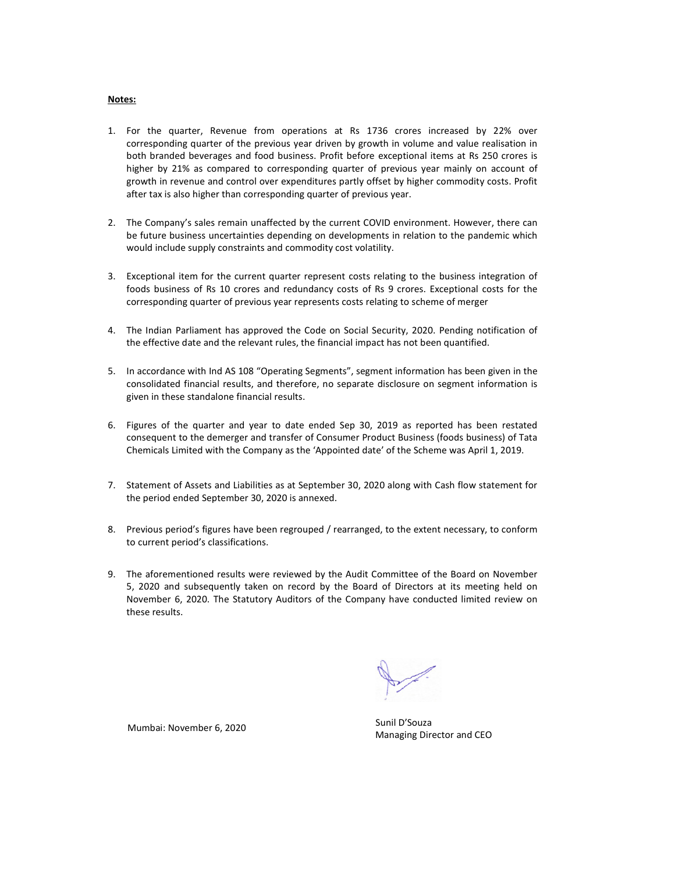#### **Notes:**

- 1. For the quarter, Revenue from operations at Rs 1736 crores increased by 22% over corresponding quarter of the previous year driven by growth in volume and value realisation in both branded beverages and food business. Profit before exceptional items at Rs 250 crores is higher by 21% as compared to corresponding quarter of previous year mainly on account of growth in revenue and control over expenditures partly offset by higher commodity costs. Profit after tax is also higher than corresponding quarter of previous year.
- 2. The Company's sales remain unaffected by the current COVID environment. However, there can be future business uncertainties depending on developments in relation to the pandemic which would include supply constraints and commodity cost volatility.
- 3. Exceptional item for the current quarter represent costs relating to the business integration of foods business of Rs 10 crores and redundancy costs of Rs 9 crores. Exceptional costs for the corresponding quarter of previous year represents costs relating to scheme of merger
- 4. The Indian Parliament has approved the Code on Social Security, 2020. Pending notification of the effective date and the relevant rules, the financial impact has not been quantified.
- 5. In accordance with Ind AS 108 "Operating Segments", segment information has been given in the consolidated financial results, and therefore, no separate disclosure on segment information is given in these standalone financial results.
- 6. Figures of the quarter and year to date ended Sep 30, 2019 as reported has been restated consequent to the demerger and transfer of Consumer Product Business (foods business) of Tata Chemicals Limited with the Company as the 'Appointed date' of the Scheme was April 1, 2019.
- 7. Statement of Assets and Liabilities as at September 30, 2020 along with Cash flow statement for the period ended September 30, 2020 is annexed.
- 8. Previous period's figures have been regrouped / rearranged, to the extent necessary, to conform to current period's classifications.
- 9. The aforementioned results were reviewed by the Audit Committee of the Board on November 5, 2020 and subsequently taken on record by the Board of Directors at its meeting held on November 6, 2020. The Statutory Auditors of the Company have conducted limited review on these results.

Managing Director and CEO

Mumbai: November 6, 2020 Sunil D'Souza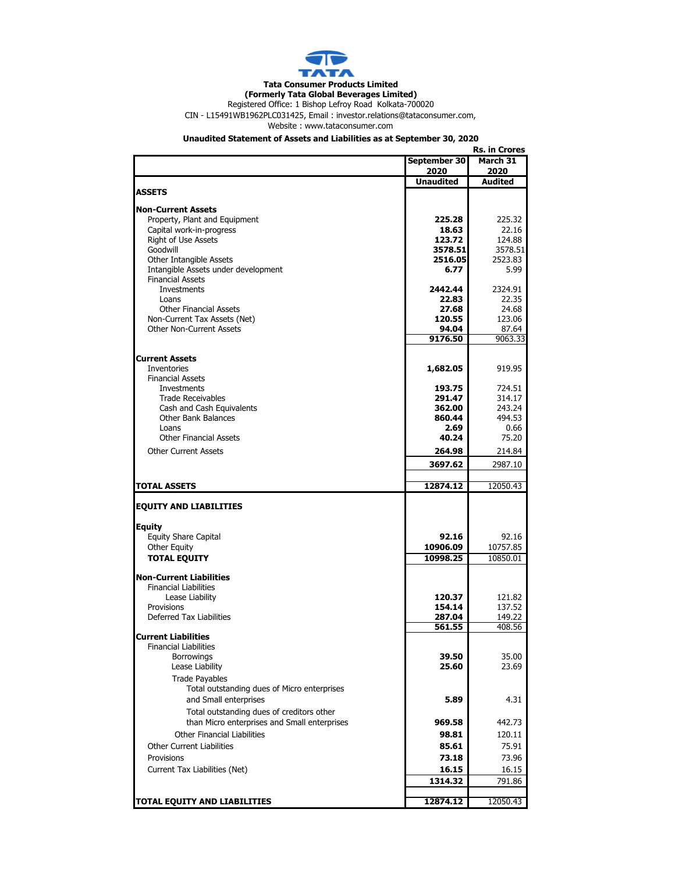

# **Tata Consumer Products Limited**

Registered Office: 1 Bishop Lefroy Road Kolkata-700020 **(Formerly Tata Global Beverages Limited)**

CIN - L15491WB1962PLC031425, Email : investor.relations@tataconsumer.com,

Website : www.tataconsumer.com

### **Unaudited Statement of Assets and Liabilities as at September 30, 2020**

|                                              |                  | <b>Rs. in Crores</b> |
|----------------------------------------------|------------------|----------------------|
|                                              | September 30     | March 31             |
|                                              | 2020             | 2020                 |
|                                              | <b>Unaudited</b> | <b>Audited</b>       |
| <b>ASSETS</b>                                |                  |                      |
| <b>Non-Current Assets</b>                    |                  |                      |
| Property, Plant and Equipment                | 225.28           | 225.32               |
| Capital work-in-progress                     | 18.63            | 22.16                |
| Right of Use Assets                          | 123.72           | 124.88               |
| Goodwill                                     | 3578.51          | 3578.51              |
| Other Intangible Assets                      | 2516.05          | 2523.83              |
| Intangible Assets under development          | 6.77             | 5.99                 |
| <b>Financial Assets</b>                      |                  |                      |
| Investments                                  | 2442.44          | 2324.91              |
| Loans                                        | 22.83            | 22.35                |
| <b>Other Financial Assets</b>                | 27.68            | 24.68                |
| Non-Current Tax Assets (Net)                 | 120.55           | 123.06               |
| <b>Other Non-Current Assets</b>              | 94.04            | 87.64                |
|                                              | 9176.50          | 9063.33              |
|                                              |                  |                      |
| <b>Current Assets</b>                        |                  |                      |
| <b>Inventories</b>                           | 1,682.05         | 919.95               |
| <b>Financial Assets</b>                      |                  |                      |
| <b>Investments</b>                           | 193.75           | 724.51               |
| <b>Trade Receivables</b>                     | 291.47           | 314.17               |
| Cash and Cash Equivalents                    | 362.00           | 243.24               |
| <b>Other Bank Balances</b>                   | 860.44           | 494.53               |
| I nans                                       | 2.69             | 0.66                 |
| <b>Other Financial Assets</b>                | 40.24            | 75.20                |
| <b>Other Current Assets</b>                  | 264.98           | 214.84               |
|                                              | 3697.62          | 2987.10              |
| <b>TOTAL ASSETS</b>                          | 12874.12         | 12050.43             |
|                                              |                  |                      |
| <b>EQUITY AND LIABILITIES</b>                |                  |                      |
| <b>Equity</b>                                |                  |                      |
| <b>Equity Share Capital</b>                  | 92.16            | 92.16                |
| <b>Other Equity</b>                          | 10906.09         | 10757.85             |
| <b>TOTAL EQUITY</b>                          | 10998.25         | 10850.01             |
| <b>Non-Current Liabilities</b>               |                  |                      |
| <b>Financial Liabilities</b>                 |                  |                      |
| Lease Liability                              | 120.37           | 121.82               |
| Provisions                                   | 154.14           | 137.52               |
| <b>Deferred Tax Liabilities</b>              | 287.04           | 149.22               |
|                                              | 561.55           | 408.56               |
| lCurrent Liabilities                         |                  |                      |
| <b>Financial Liabilities</b>                 |                  |                      |
| <b>Borrowings</b>                            | 39.50            | 35.00                |
| Lease Liability                              | 25.60            | 23.69                |
| <b>Trade Payables</b>                        |                  |                      |
| Total outstanding dues of Micro enterprises  |                  |                      |
| and Small enterprises                        | 5.89             | 4.31                 |
| Total outstanding dues of creditors other    |                  |                      |
| than Micro enterprises and Small enterprises | 969.58           | 442.73               |
|                                              |                  |                      |
| <b>Other Financial Liabilities</b>           | 98.81            | 120.11               |
| <b>Other Current Liabilities</b>             | 85.61            | 75.91                |
| Provisions                                   | 73.18            | 73.96                |
| Current Tax Liabilities (Net)                | 16.15            | 16.15                |
|                                              | 1314.32          | 791.86               |
|                                              |                  |                      |
| <b>TOTAL EQUITY AND LIABILITIES</b>          | 12874.12         | 12050.43             |